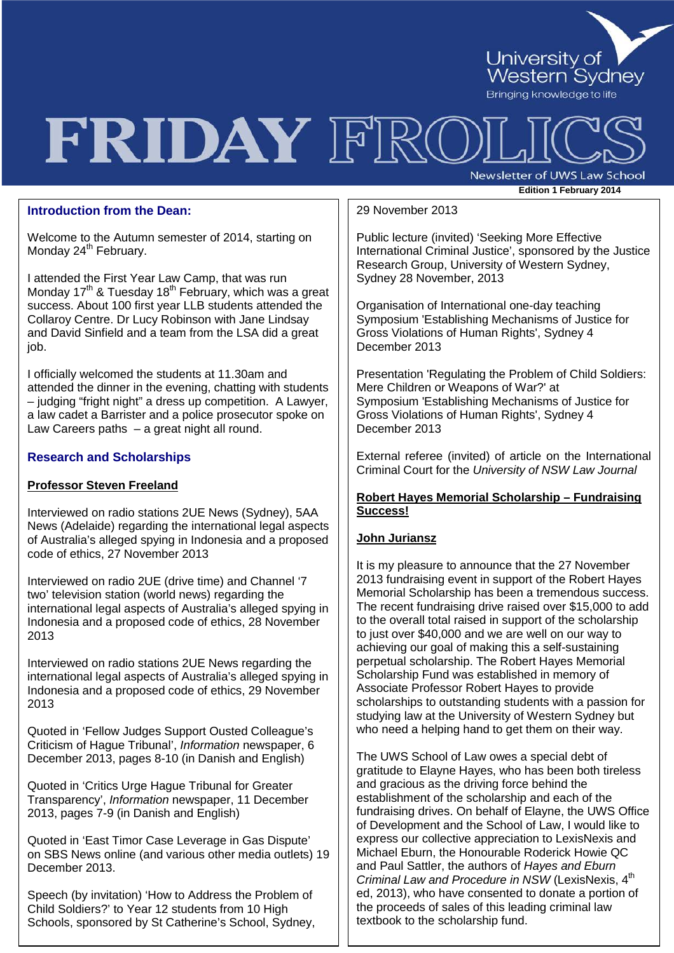

## FRIDAY FRO

Newsletter of UWS Law School **Edition <sup>1</sup> February 2014**

#### **Introduction from the Dean:**

Welcome to the Autumn semester of 2014, starting on Monday 24<sup>th</sup> February.

I attended the First Year Law Camp, that was run Monday  $17<sup>th</sup>$  & Tuesday 18<sup>th</sup> February, which was a great success. About 100 first year LLB students attended the Collaroy Centre. Dr Lucy Robinson with Jane Lindsay and David Sinfield and a team from the LSA did a great job.

I officially welcomed the students at 11.30am and attended the dinner in the evening, chatting with students – judging "fright night" a dress up competition. A Lawyer, a law cadet a Barrister and a police prosecutor spoke on Law Careers paths – a great night all round.

#### **Research and Scholarships**

#### **Professor Steven Freeland**

Interviewed on radio stations 2UE News (Sydney), 5AA News (Adelaide) regarding the international legal aspects of Australia's alleged spying in Indonesia and a proposed code of ethics, 27 November 2013

Interviewed on radio 2UE (drive time) and Channel '7 two' television station (world news) regarding the international legal aspects of Australia's alleged spying in Indonesia and a proposed code of ethics, 28 November 2013

Interviewed on radio stations 2UE News regarding the international legal aspects of Australia's alleged spying in Indonesia and a proposed code of ethics, 29 November 2013

Quoted in 'Fellow Judges Support Ousted Colleague's Criticism of Hague Tribunal', *Information* newspaper, 6 December 2013, pages 8-10 (in Danish and English)

Quoted in 'Critics Urge Hague Tribunal for Greater Transparency', *Information* newspaper, 11 December 2013, pages 7-9 (in Danish and English)

Quoted in 'East Timor Case Leverage in Gas Dispute' on SBS News online (and various other media outlets) 19 December 2013.

Speech (by invitation) 'How to Address the Problem of Child Soldiers?' to Year 12 students from 10 High Schools, sponsored by St Catherine's School, Sydney,

#### 29 November 2013

**Parameters 2 Edition 2 Control of Person 2 Property and 3 and 2 Control of Western Sydney,** Public lecture (invited) 'Seeking More Effective International Criminal Justice', sponsored by the Justice Sydney 28 November, 2013

Organisation of International one-day teaching Symposium 'Establishing Mechanisms of Justice for Gross Violations of Human Rights', Sydney 4 December 2013

Presentation 'Regulating the Problem of Child Soldiers: Mere Children or Weapons of War?' at Symposium 'Establishing Mechanisms of Justice for Gross Violations of Human Rights', Sydney 4 December 2013

External referee (invited) of article on the International Criminal Court for the *University of NSW Law Journal*

#### **Robert Hayes Memorial Scholarship – Fundraising Success!**

#### **John Juriansz**

It is my pleasure to announce that the 27 November 2013 fundraising event in support of the Robert Hayes Memorial Scholarship has been a tremendous success. The recent fundraising drive raised over \$15,000 to add to the overall total raised in support of the scholarship to just over \$40,000 and we are well on our way to achieving our goal of making this a self-sustaining perpetual scholarship. The Robert Hayes Memorial Scholarship Fund was established in memory of Associate Professor Robert Hayes to provide scholarships to outstanding students with a passion for studying law at the University of Western Sydney but who need a helping hand to get them on their way.

The UWS School of Law owes a special debt of gratitude to Elayne Hayes, who has been both tireless and gracious as the driving force behind the establishment of the scholarship and each of the fundraising drives. On behalf of Elayne, the UWS Office of Development and the School of Law, I would like to express our collective appreciation to LexisNexis and Michael Eburn, the Honourable Roderick Howie QC and Paul Sattler, the authors of *Hayes and Eburn Criminal Law and Procedure in NSW* (LexisNexis, 4<sup>th</sup> ed, 2013), who have consented to donate a portion of the proceeds of sales of this leading criminal law textbook to the scholarship fund.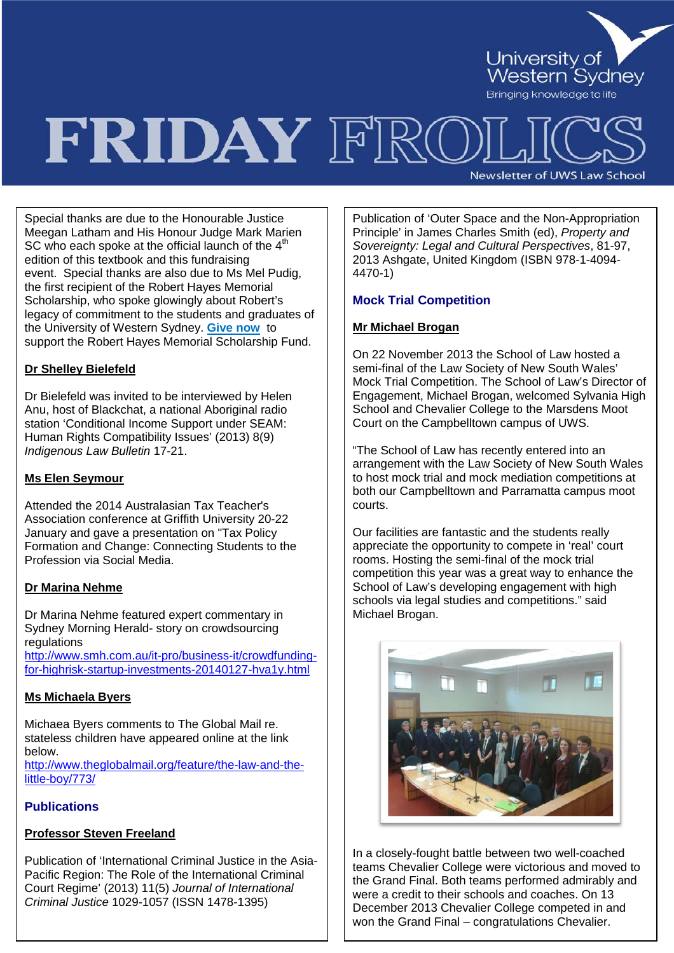

# FRIDAY FRO

**Newsletter of UWS Law School** 

Special thanks are due to the Honourable Justice Meegan Latham and His Honour Judge Mark Marien SC who each spoke at the official launch of the  $4<sup>th</sup>$ edition of this textbook and this fundraising event. Special thanks are also due to Ms Mel Pudig, the first recipient of the Robert Hayes Memorial Scholarship, who spoke glowingly about Robert's legacy of commitment to the students and graduates of the University of Western Sydney. **[Give now](http://www.uws.edu.au/give/home/online_donation_form)** to support the Robert Hayes Memorial Scholarship Fund.

#### **Dr Shelley Bielefeld**

Dr Bielefeld was invited to be interviewed by Helen Anu, host of Blackchat, a national Aboriginal radio station 'Conditional Income Support under SEAM: Human Rights Compatibility Issues' (2013) 8(9) *Indigenous Law Bulletin* 17-21.

#### **Ms Elen Seymour**

Attended the 2014 Australasian Tax Teacher's Association conference at Griffith University 20-22 January and gave a presentation on "Tax Policy Formation and Change: Connecting Students to the Profession via Social Media.

#### **Dr Marina Nehme**

Dr Marina Nehme featured expert commentary in Sydney Morning Herald- story on crowdsourcing regulations

[http://www.smh.com.au/it-pro/business-it/crowdfunding](http://www.smh.com.au/it-pro/business-it/crowdfunding-for-highrisk-startup-investments-20140127-hva1y.html)[for-highrisk-startup-investments-20140127-hva1y.html](http://www.smh.com.au/it-pro/business-it/crowdfunding-for-highrisk-startup-investments-20140127-hva1y.html)

#### **Ms Michaela Byers**

Michaea Byers comments to The Global Mail re. stateless children have appeared online at the link below. [http://www.theglobalmail.org/feature/the-law-and-the-](http://www.theglobalmail.org/feature/the-law-and-the-little-boy/773/)

[little-boy/773/](http://www.theglobalmail.org/feature/the-law-and-the-little-boy/773/)

#### **Publications**

#### **Professor Steven Freeland**

Publication of 'International Criminal Justice in the Asia-Pacific Region: The Role of the International Criminal Court Regime' (2013) 11(5) *Journal of International Criminal Justice* 1029-1057 (ISSN 1478-1395)

Publication of 'Outer Space and the Non-Appropriation Principle' in James Charles Smith (ed), *Property and Sovereignty: Legal and Cultural Perspectives*, 81-97, 2013 Ashgate, United Kingdom (ISBN 978-1-4094- 4470-1)

#### **Mock Trial Competition**

#### **Mr Michael Brogan**

On 22 November 2013 the School of Law hosted a semi-final of the Law Society of New South Wales' Mock Trial Competition. The School of Law's Director of Engagement, Michael Brogan, welcomed Sylvania High School and Chevalier College to the Marsdens Moot Court on the Campbelltown campus of UWS.

"The School of Law has recently entered into an arrangement with the Law Society of New South Wales to host mock trial and mock mediation competitions at both our Campbelltown and Parramatta campus moot courts.

Our facilities are fantastic and the students really appreciate the opportunity to compete in 'real' court rooms. Hosting the semi-final of the mock trial competition this year was a great way to enhance the School of Law's developing engagement with high schools via legal studies and competitions." said Michael Brogan.



In a closely-fought battle between two well-coached teams Chevalier College were victorious and moved to the Grand Final. Both teams performed admirably and were a credit to their schools and coaches. On 13 December 2013 Chevalier College competed in and won the Grand Final – congratulations Chevalier.